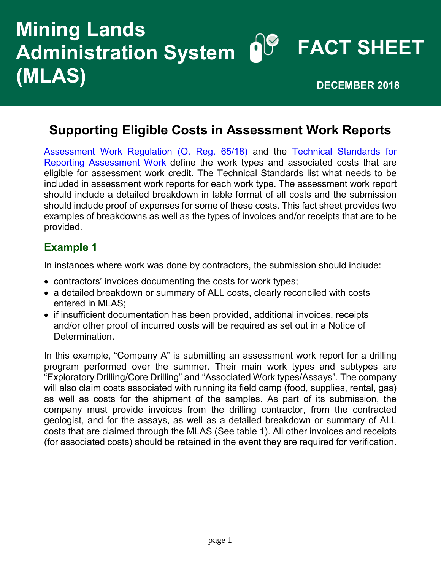# **FACT SHEET Mining Lands Administration System (MLAS) DECEMBER 2018**

## **Supporting Eligible Costs in Assessment Work Reports**

[Assessment Work Regulation \(O. Reg. 65/18\)](https://www.mndm.gov.on.ca/en/mlas/directive5-work-reporting) and the [Technical Standards for](https://www.mndm.gov.on.ca/sites/default/files/technical_standards_for_reporting_assessment_work_en.pdf)  [Reporting Assessment Work](https://www.mndm.gov.on.ca/sites/default/files/technical_standards_for_reporting_assessment_work_en.pdf) define the work types and associated costs that are eligible for assessment work credit. The Technical Standards list what needs to be included in assessment work reports for each work type. The assessment work report should include a detailed breakdown in table format of all costs and the submission should include proof of expenses for some of these costs. This fact sheet provides two examples of breakdowns as well as the types of invoices and/or receipts that are to be provided.

#### **Example 1**

In instances where work was done by contractors, the submission should include:

- contractors' invoices documenting the costs for work types;
- a detailed breakdown or summary of ALL costs, clearly reconciled with costs entered in MLAS;
- if insufficient documentation has been provided, additional invoices, receipts and/or other proof of incurred costs will be required as set out in a Notice of Determination.

In this example, "Company A" is submitting an assessment work report for a drilling program performed over the summer. Their main work types and subtypes are "Exploratory Drilling/Core Drilling" and "Associated Work types/Assays". The company will also claim costs associated with running its field camp (food, supplies, rental, gas) as well as costs for the shipment of the samples. As part of its submission, the company must provide invoices from the drilling contractor, from the contracted geologist, and for the assays, as well as a detailed breakdown or summary of ALL costs that are claimed through the MLAS (See table 1). All other invoices and receipts (for associated costs) should be retained in the event they are required for verification.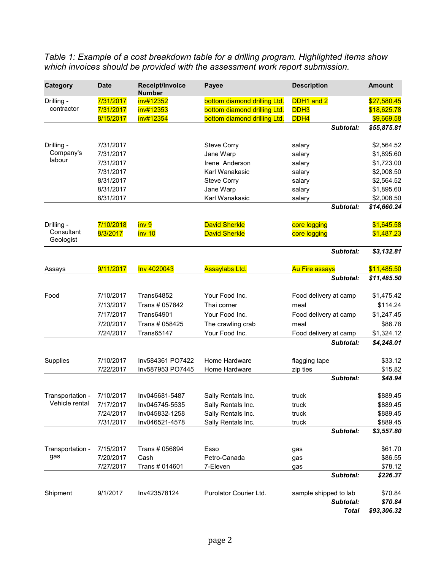*Table 1: Example of a cost breakdown table for a drilling program. Highlighted items show which invoices should be provided with the assessment work report submission.*

| Category                | <b>Date</b> | Receipt/Invoice<br><b>Number</b> | Payee                        | <b>Description</b>    | <b>Amount</b> |
|-------------------------|-------------|----------------------------------|------------------------------|-----------------------|---------------|
| Drilling -              | 7/31/2017   | inv#12352                        | bottom diamond drilling Ltd. | DDH1 and 2            | \$27,580.45   |
| contractor              | 7/31/2017   | inv#12353                        | bottom diamond drilling Ltd. | DDH <sub>3</sub>      | \$18,625.78   |
|                         | 8/15/2017   | inv#12354                        | bottom diamond drilling Ltd. | DDH <sub>4</sub>      | \$9,669.58    |
|                         |             |                                  |                              | Subtotal:             | \$55,875.81   |
| Drilling -              | 7/31/2017   |                                  | <b>Steve Corry</b>           | salary                | \$2,564.52    |
| Company's               | 7/31/2017   |                                  | Jane Warp                    | salary                | \$1,895.60    |
| labour                  | 7/31/2017   |                                  | Irene Anderson               | salary                | \$1,723.00    |
|                         | 7/31/2017   |                                  | Karl Wanakasic               | salary                | \$2,008.50    |
|                         | 8/31/2017   |                                  | <b>Steve Corry</b>           | salary                | \$2,564.52    |
|                         | 8/31/2017   |                                  | Jane Warp                    | salary                | \$1,895.60    |
|                         | 8/31/2017   |                                  | Karl Wanakasic               | salary                | \$2,008.50    |
|                         |             |                                  |                              | Subtotal:             | \$14,660.24   |
| Drilling -              | 7/10/2018   | inv 9                            | <b>David Sherkle</b>         | core logging          | \$1,645.58    |
| Consultant<br>Geologist | 8/3/2017    | inv 10                           | <b>David Sherkle</b>         | core logging          | \$1,487.23    |
|                         |             |                                  |                              | Subtotal:             | \$3,132.81    |
| Assays                  | 9/11/2017   | Inv 4020043                      | <b>Assaylabs Ltd.</b>        | <b>Au Fire assays</b> | \$11,485.50   |
|                         |             |                                  |                              | Subtotal:             | \$11,485.50   |
| Food                    | 7/10/2017   | <b>Trans64852</b>                | Your Food Inc.               | Food delivery at camp | \$1,475.42    |
|                         | 7/13/2017   | Trans # 057842                   | Thai corner                  | meal                  | \$114.24      |
|                         | 7/17/2017   | <b>Trans64901</b>                | Your Food Inc.               | Food delivery at camp | \$1,247.45    |
|                         | 7/20/2017   | Trans # 058425                   | The crawling crab            | meal                  | \$86.78       |
|                         | 7/24/2017   | <b>Trans65147</b>                | Your Food Inc.               | Food delivery at camp | \$1,324.12    |
|                         |             |                                  |                              | Subtotal:             | \$4,248.01    |
| Supplies                | 7/10/2017   | Inv584361 PO7422                 | Home Hardware                | flagging tape         | \$33.12       |
|                         | 7/22/2017   | Inv587953 PO7445                 | Home Hardware                | zip ties              | \$15.82       |
|                         |             |                                  |                              | Subtotal:             | \$48.94       |
| Transportation -        | 7/10/2017   | Inv045681-5487                   | Sally Rentals Inc.           | truck                 | \$889.45      |
| Vehicle rental          | 7/17/2017   | Inv045745-5535                   | Sally Rentals Inc.           | truck                 | \$889.45      |
|                         | 7/24/2017   | Inv045832-1258                   | Sally Rentals Inc.           | truck                 | \$889.45      |
|                         | 7/31/2017   | Inv046521-4578                   | Sally Rentals Inc.           | truck                 | \$889.45      |
|                         |             |                                  |                              | Subtotal:             | \$3,557.80    |
| Transportation -<br>gas | 7/15/2017   | Trans # 056894                   | Esso                         | gas                   | \$61.70       |
|                         | 7/20/2017   | Cash                             | Petro-Canada                 | gas                   | \$86.55       |
|                         | 7/27/2017   | Trans # 014601                   | 7-Eleven                     | gas                   | \$78.12       |
|                         |             |                                  |                              | Subtotal:             | \$226.37      |
| Shipment                | 9/1/2017    | Inv423578124                     | Purolator Courier Ltd.       | sample shipped to lab | \$70.84       |
|                         |             |                                  |                              | Subtotal:             | \$70.84       |
|                         |             |                                  |                              | <b>Total</b>          | \$93,306.32   |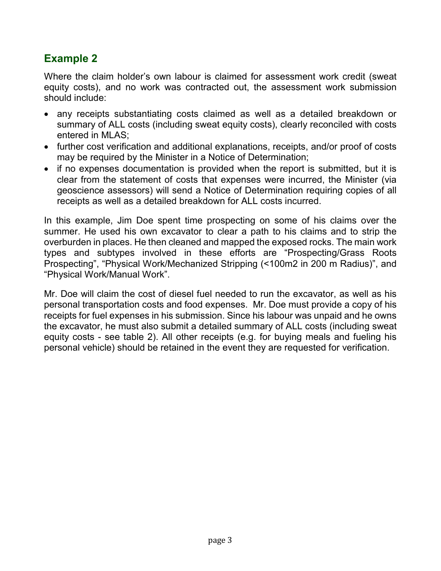### **Example 2**

Where the claim holder's own labour is claimed for assessment work credit (sweat equity costs), and no work was contracted out, the assessment work submission should include:

- any receipts substantiating costs claimed as well as a detailed breakdown or summary of ALL costs (including sweat equity costs), clearly reconciled with costs entered in MLAS;
- further cost verification and additional explanations, receipts, and/or proof of costs may be required by the Minister in a Notice of Determination;
- if no expenses documentation is provided when the report is submitted, but it is clear from the statement of costs that expenses were incurred, the Minister (via geoscience assessors) will send a Notice of Determination requiring copies of all receipts as well as a detailed breakdown for ALL costs incurred.

In this example, Jim Doe spent time prospecting on some of his claims over the summer. He used his own excavator to clear a path to his claims and to strip the overburden in places. He then cleaned and mapped the exposed rocks. The main work types and subtypes involved in these efforts are "Prospecting/Grass Roots Prospecting", "Physical Work/Mechanized Stripping (<100m2 in 200 m Radius)", and "Physical Work/Manual Work".

Mr. Doe will claim the cost of diesel fuel needed to run the excavator, as well as his personal transportation costs and food expenses. Mr. Doe must provide a copy of his receipts for fuel expenses in his submission. Since his labour was unpaid and he owns the excavator, he must also submit a detailed summary of ALL costs (including sweat equity costs - see table 2). All other receipts (e.g. for buying meals and fueling his personal vehicle) should be retained in the event they are requested for verification.